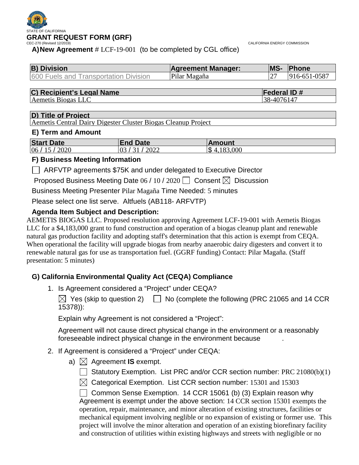

CALIFORNIA ENERGY COMMISSION

**A)New Agreement** # LCF-19-001 (to be completed by CGL office)

| <b>B</b> ) Division                          | <b>Agreement Manager:</b> | <b>IMS-</b> | <b>Phone</b> |
|----------------------------------------------|---------------------------|-------------|--------------|
| <b>600 Fuels and Transportation Division</b> | Pilar Magaña              |             | 916-651-0587 |

| C) Recipient's Legal Name | <b>Federal ID#</b> |
|---------------------------|--------------------|
|                           |                    |

Aemetis Biogas LLC 38-4076147

#### **D) Title of Project**

Aemetis Central Dairy Digester Cluster Biogas Cleanup Project

#### **E) Term and Amount**

| <b>Start Date</b>                      | <b>End Date</b> | Amount                        |
|----------------------------------------|-----------------|-------------------------------|
| 06<br>2020<br>$\sim$<br>$\overline{1}$ | 2022<br>03      | $\mathfrak{L}$<br>.000<br>187 |

#### **F) Business Meeting Information**

ARFVTP agreements \$75K and under delegated to Executive Director

Proposed Business Meeting Date 06 / 10 / 2020  $\Box$  Consent  $\boxtimes$  Discussion

Business Meeting Presenter Pilar Magaña Time Needed: 5 minutes

Please select one list serve. Altfuels (AB118- ARFVTP)

# **Agenda Item Subject and Description:**

AEMETIS BIOGAS LLC. Proposed resolution approving Agreement LCF-19-001 with Aemetis Biogas LLC for a \$4,183,000 grant to fund construction and operation of a biogas cleanup plant and renewable natural gas production facility and adopting staff's determination that this action is exempt from CEQA. When operational the facility will upgrade biogas from nearby anaerobic dairy digesters and convert it to renewable natural gas for use as transportation fuel. (GGRF funding) Contact: Pilar Magaña. (Staff presentation: 5 minutes)

# **G) California Environmental Quality Act (CEQA) Compliance**

1. Is Agreement considered a "Project" under CEQA?

 $\boxtimes$  Yes (skip to question 2)  $\Box$  No (complete the following (PRC 21065 and 14 CCR 15378)):

Explain why Agreement is not considered a "Project":

Agreement will not cause direct physical change in the environment or a reasonably foreseeable indirect physical change in the environment because .

- 2. If Agreement is considered a "Project" under CEQA:
	- a)  $\boxtimes$  Agreement **IS** exempt.
		- $\Box$  Statutory Exemption. List PRC and/or CCR section number: PRC 21080(b)(1)
		- $\boxtimes$  Categorical Exemption. List CCR section number: 15301 and 15303

 $\Box$  Common Sense Exemption. 14 CCR 15061 (b) (3) Explain reason why Agreement is exempt under the above section: 14 CCR section 15301 exempts the operation, repair, maintenance, and minor alteration of existing structures, facilities or mechanical equipment involving neglible or no expansion of existing or former use. This project will involve the minor alteration and operation of an existing biorefinary facility and construction of utilities within existing highways and streets with negligible or no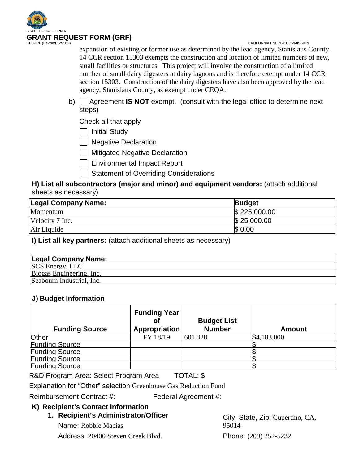

CALIFORNIA ENERGY COMMISSION

expansion of existing or former use as determined by the lead agency, Stanislaus County. 14 CCR section 15303 exempts the construction and location of limited numbers of new, small facilities or structures. This project will involve the construction of a limited number of small dairy digesters at dairy lagoons and is therefore exempt under 14 CCR section 15303. Construction of the dairy digesters have also been approved by the lead agency, Stanislaus County, as exempt under CEQA.

b) Agreement **IS NOT** exempt. (consult with the legal office to determine next steps)

Check all that apply

| | Initial Study

□ Negative Declaration

 $\Box$  Mitigated Negative Declaration

Environmental Impact Report

Statement of Overriding Considerations

#### **H) List all subcontractors (major and minor) and equipment vendors:** (attach additional sheets as necessary)

| <b>Legal Company Name:</b> | <b>Budget</b> |
|----------------------------|---------------|
| Momentum                   | \$225,000.00  |
| Velocity 7 Inc.            | \$25,000.00   |
| Air Liquide                | \$0.00        |

**I) List all key partners:** (attach additional sheets as necessary)

| <b>Legal Company Name:</b> |  |
|----------------------------|--|
| <b>SCS Energy, LLC</b>     |  |
| Biogas Engineering, Inc.   |  |
| Seabourn Industrial, Inc.  |  |

### **J) Budget Information**

| <b>Funding Source</b> | <b>Funding Year</b><br>Appropriation | <b>Budget List</b><br><b>Number</b> | <b>Amount</b> |
|-----------------------|--------------------------------------|-------------------------------------|---------------|
| Other                 | FY 18/19                             | 601.328                             | \$4,183,000   |
| <b>Funding Source</b> |                                      |                                     |               |
| <b>Funding Source</b> |                                      |                                     |               |
| <b>Funding Source</b> |                                      |                                     |               |
| <b>Funding Source</b> |                                      |                                     |               |

R&D Program Area: Select Program Area TOTAL: \$

Explanation for "Other" selection Greenhouse Gas Reduction Fund

Reimbursement Contract #: Federal Agreement #:

### **K) Recipient's Contact Information**

#### **1. Recipient's Administrator/Officer**

Name: Robbie Macias Address: 20400 Steven Creek Blvd. City, State, Zip: Cupertino, CA, 95014 Phone: (209) 252-5232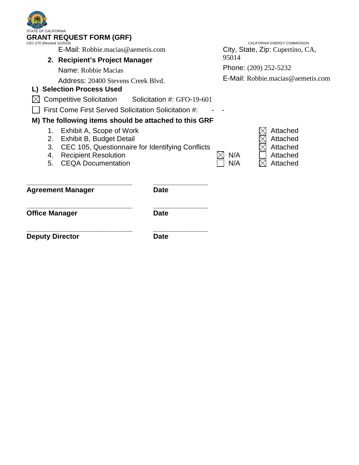| <b>STATE OF CALIFORNIA</b><br><b>GRANT REQUEST FORM (GRF)</b><br>CEC-270 (Revised 12/2019)<br>E-Mail: Robbie.macias@aemetis.com<br>2. Recipient's Project Manager<br>Name: Robbie Macias<br>Address: 20400 Stevens Creek Blyd.                                                                                                  |                                                                                | CALIFORNIA ENERGY COMMISSION<br>City, State, Zip: Cupertino, CA,<br>95014<br>Phone: (209) 252-5232<br>$E$ -Mail: Robbie macias @ aemetis com |                                                          |  |
|---------------------------------------------------------------------------------------------------------------------------------------------------------------------------------------------------------------------------------------------------------------------------------------------------------------------------------|--------------------------------------------------------------------------------|----------------------------------------------------------------------------------------------------------------------------------------------|----------------------------------------------------------|--|
| L) Selection Process Used<br><b>Competitive Solicitation</b><br>First Come First Served Solicitation Solicitation #:<br>M) The following items should be attached to this GRF<br>Exhibit A, Scope of Work<br>1.<br>2.<br>Exhibit B, Budget Detail<br>3.<br><b>Recipient Resolution</b><br>4.<br><b>CEQA Documentation</b><br>5. | Solicitation #: GFO-19-601<br>CEC 105, Questionnaire for Identifying Conflicts | N/A<br>N/A                                                                                                                                   | Attached<br>Attached<br>Attached<br>Attached<br>Attached |  |
| <b>Agreement Manager</b>                                                                                                                                                                                                                                                                                                        | <b>Date</b>                                                                    |                                                                                                                                              |                                                          |  |
| <b>Office Manager</b>                                                                                                                                                                                                                                                                                                           | <b>Date</b>                                                                    |                                                                                                                                              |                                                          |  |

**Deputy Director Date** 

*<u>CONTRACTORY</u>*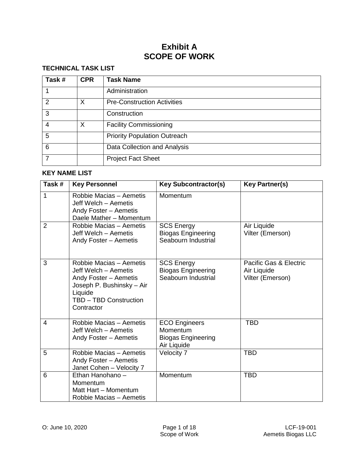# **Exhibit A SCOPE OF WORK**

### **TECHNICAL TASK LIST**

| Task#                    | <b>CPR</b> | <b>Task Name</b>                    |
|--------------------------|------------|-------------------------------------|
|                          |            | Administration                      |
| $\mathcal{P}$            | X          | <b>Pre-Construction Activities</b>  |
| 3                        |            | Construction                        |
| 4                        | X          | <b>Facility Commissioning</b>       |
| 5                        |            | <b>Priority Population Outreach</b> |
| 6                        |            | Data Collection and Analysis        |
| $\overline{\phantom{a}}$ |            | <b>Project Fact Sheet</b>           |

#### **KEY NAME LIST**

| Task#          | <b>Key Personnel</b>                                                                                                                                     | <b>Key Subcontractor(s)</b>                                                  | <b>Key Partner(s)</b>                                     |
|----------------|----------------------------------------------------------------------------------------------------------------------------------------------------------|------------------------------------------------------------------------------|-----------------------------------------------------------|
| 1              | Robbie Macias - Aemetis<br>Jeff Welch – Aemetis<br>Andy Foster - Aemetis<br>Daele Mather - Momentum                                                      | Momentum                                                                     |                                                           |
| $\overline{2}$ | Robbie Macias - Aemetis<br>Jeff Welch - Aemetis<br>Andy Foster - Aemetis                                                                                 | <b>SCS Energy</b><br><b>Biogas Engineering</b><br>Seabourn Industrial        | Air Liquide<br>Vilter (Emerson)                           |
| 3              | Robbie Macias - Aemetis<br>Jeff Welch – Aemetis<br>Andy Foster - Aemetis<br>Joseph P. Bushinsky - Air<br>Liquide<br>TBD - TBD Construction<br>Contractor | <b>SCS Energy</b><br><b>Biogas Engineering</b><br>Seabourn Industrial        | Pacific Gas & Electric<br>Air Liquide<br>Vilter (Emerson) |
| 4              | Robbie Macias - Aemetis<br>Jeff Welch - Aemetis<br>Andy Foster - Aemetis                                                                                 | <b>ECO Engineers</b><br>Momentum<br><b>Biogas Engineering</b><br>Air Liquide | <b>TBD</b>                                                |
| 5              | Robbie Macias - Aemetis<br>Andy Foster - Aemetis<br>Janet Cohen - Velocity 7                                                                             | Velocity 7                                                                   | <b>TBD</b>                                                |
| 6              | Ethan Hanohano -<br>Momentum<br>Matt Hart - Momentum<br>Robbie Macias - Aemetis                                                                          | Momentum                                                                     | <b>TBD</b>                                                |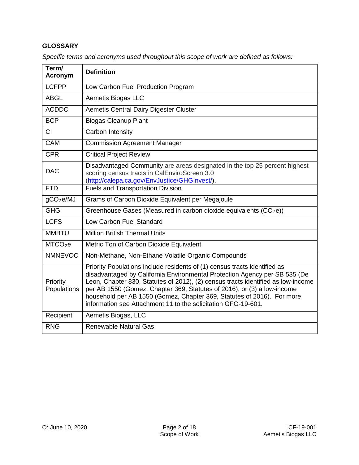### **GLOSSARY**

| Term/<br>Acronym        | <b>Definition</b>                                                                                                                                                                                                                                                                                                                                                                                                                                                 |
|-------------------------|-------------------------------------------------------------------------------------------------------------------------------------------------------------------------------------------------------------------------------------------------------------------------------------------------------------------------------------------------------------------------------------------------------------------------------------------------------------------|
| <b>LCFPP</b>            | Low Carbon Fuel Production Program                                                                                                                                                                                                                                                                                                                                                                                                                                |
| <b>ABGL</b>             | Aemetis Biogas LLC                                                                                                                                                                                                                                                                                                                                                                                                                                                |
| <b>ACDDC</b>            | Aemetis Central Dairy Digester Cluster                                                                                                                                                                                                                                                                                                                                                                                                                            |
| <b>BCP</b>              | <b>Biogas Cleanup Plant</b>                                                                                                                                                                                                                                                                                                                                                                                                                                       |
| CI                      | Carbon Intensity                                                                                                                                                                                                                                                                                                                                                                                                                                                  |
| <b>CAM</b>              | <b>Commission Agreement Manager</b>                                                                                                                                                                                                                                                                                                                                                                                                                               |
| <b>CPR</b>              | <b>Critical Project Review</b>                                                                                                                                                                                                                                                                                                                                                                                                                                    |
| <b>DAC</b>              | Disadvantaged Community are areas designated in the top 25 percent highest<br>scoring census tracts in CalEnviroScreen 3.0<br>(http://calepa.ca.gov/EnvJustice/GHGInvest/).                                                                                                                                                                                                                                                                                       |
| <b>FTD</b>              | <b>Fuels and Transportation Division</b>                                                                                                                                                                                                                                                                                                                                                                                                                          |
| gCO <sub>2</sub> e/MJ   | Grams of Carbon Dioxide Equivalent per Megajoule                                                                                                                                                                                                                                                                                                                                                                                                                  |
| <b>GHG</b>              | Greenhouse Gases (Measured in carbon dioxide equivalents (CO <sub>2</sub> e))                                                                                                                                                                                                                                                                                                                                                                                     |
| <b>LCFS</b>             | Low Carbon Fuel Standard                                                                                                                                                                                                                                                                                                                                                                                                                                          |
| <b>MMBTU</b>            | <b>Million British Thermal Units</b>                                                                                                                                                                                                                                                                                                                                                                                                                              |
| MTCO <sub>2</sub> e     | Metric Ton of Carbon Dioxide Equivalent                                                                                                                                                                                                                                                                                                                                                                                                                           |
| <b>NMNEVOC</b>          | Non-Methane, Non-Ethane Volatile Organic Compounds                                                                                                                                                                                                                                                                                                                                                                                                                |
| Priority<br>Populations | Priority Populations include residents of (1) census tracts identified as<br>disadvantaged by California Environmental Protection Agency per SB 535 (De<br>Leon, Chapter 830, Statutes of 2012), (2) census tracts identified as low-income<br>per AB 1550 (Gomez, Chapter 369, Statutes of 2016), or (3) a low-income<br>household per AB 1550 (Gomez, Chapter 369, Statutes of 2016). For more<br>information see Attachment 11 to the solicitation GFO-19-601. |
| Recipient               | Aemetis Biogas, LLC                                                                                                                                                                                                                                                                                                                                                                                                                                               |
| <b>RNG</b>              | <b>Renewable Natural Gas</b>                                                                                                                                                                                                                                                                                                                                                                                                                                      |

*Specific terms and acronyms used throughout this scope of work are defined as follows:*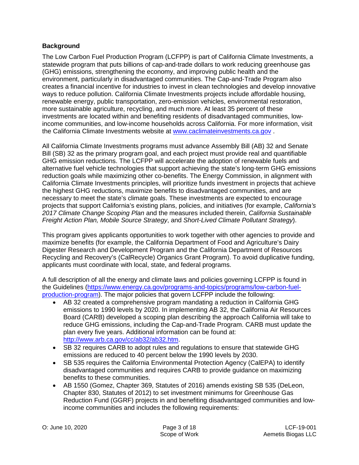#### **Background**

The Low Carbon Fuel Production Program (LCFPP) is part of California Climate Investments, a statewide program that puts billions of cap-and-trade dollars to work reducing greenhouse gas (GHG) emissions, strengthening the economy, and improving public health and the environment, particularly in disadvantaged communities. The Cap-and-Trade Program also creates a financial incentive for industries to invest in clean technologies and develop innovative ways to reduce pollution. California Climate Investments projects include affordable housing, renewable energy, public transportation, zero-emission vehicles, environmental restoration, more sustainable agriculture, recycling, and much more. At least 35 percent of these investments are located within and benefiting residents of disadvantaged communities, lowincome communities, and low-income households across California. For more information, visit the California Climate Investments website at [www.caclimateinvestments.ca.gov](http://www.caclimateinvestments.ca.gov/) .

All California Climate Investments programs must advance Assembly Bill (AB) 32 and Senate Bill (SB) 32 as the primary program goal, and each project must provide real and quantifiable GHG emission reductions. The LCFPP will accelerate the adoption of renewable fuels and alternative fuel vehicle technologies that support achieving the state's long-term GHG emissions reduction goals while maximizing other co-benefits. The Energy Commission, in alignment with California Climate Investments principles, will prioritize funds investment in projects that achieve the highest GHG reductions, maximize benefits to disadvantaged communities, and are necessary to meet the state's climate goals. These investments are expected to encourage projects that support California's existing plans, policies, and initiatives (for example, *California's 2017 Climate Change Scoping Plan* and the measures included therein, *California Sustainable Freight Action Plan, Mobile Source Strategy*, and *Short-Lived Climate Pollutant Strategy*).

This program gives applicants opportunities to work together with other agencies to provide and maximize benefits (for example, the California Department of Food and Agriculture's Dairy Digester Research and Development Program and the California Department of Resources Recycling and Recovery's (CalRecycle) Organics Grant Program). To avoid duplicative funding, applicants must coordinate with local, state, and federal programs.

A full description of all the energy and climate laws and policies governing LCFPP is found in the Guidelines [\(https://www.energy.ca.gov/programs-and-topics/programs/low-carbon-fuel](https://www.energy.ca.gov/programs-and-topics/programs/low-carbon-fuel-production-program)[production-program\)](https://www.energy.ca.gov/programs-and-topics/programs/low-carbon-fuel-production-program). The major policies that govern LCFPP include the following:

- AB 32 created a comprehensive program mandating a reduction in California GHG emissions to 1990 levels by 2020. In implementing AB 32, the California Air Resources Board (CARB) developed a scoping plan describing the approach California will take to reduce GHG emissions, including the Cap-and-Trade Program. CARB must update the plan every five years. Additional information can be found at: [http://www.arb.ca.gov/cc/ab32/ab32.htm.](http://www.arb.ca.gov/cc/ab32/ab32.htm)
- SB 32 requires CARB to adopt rules and regulations to ensure that statewide GHG emissions are reduced to 40 percent below the 1990 levels by 2030.
- SB 535 requires the California Environmental Protection Agency (CalEPA) to identify disadvantaged communities and requires CARB to provide guidance on maximizing benefits to these communities.
- AB 1550 (Gomez, Chapter 369, Statutes of 2016) amends existing SB 535 (DeLeon, Chapter 830, Statutes of 2012) to set investment minimums for Greenhouse Gas Reduction Fund (GGRF) projects in and benefiting disadvantaged communities and lowincome communities and includes the following requirements: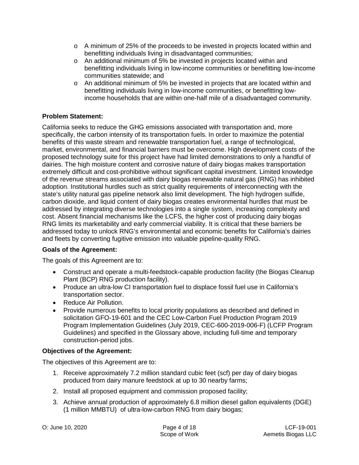- $\circ$  A minimum of 25% of the proceeds to be invested in projects located within and benefitting individuals living in disadvantaged communities;
- o An additional minimum of 5% be invested in projects located within and benefitting individuals living in low-income communities or benefitting low-income communities statewide; and
- o An additional minimum of 5% be invested in projects that are located within and benefitting individuals living in low-income communities, or benefitting lowincome households that are within one-half mile of a disadvantaged community.

### **Problem Statement:**

California seeks to reduce the GHG emissions associated with transportation and, more specifically, the carbon intensity of its transportation fuels. In order to maximize the potential benefits of this waste stream and renewable transportation fuel, a range of technological, market, environmental, and financial barriers must be overcome. High development costs of the proposed technology suite for this project have had limited demonstrations to only a handful of dairies. The high moisture content and corrosive nature of dairy biogas makes transportation extremely difficult and cost-prohibitive without significant capital investment. Limited knowledge of the revenue streams associated with dairy biogas renewable natural gas (RNG) has inhibited adoption. Institutional hurdles such as strict quality requirements of interconnecting with the state's utility natural gas pipeline network also limit development. The high hydrogen sulfide, carbon dioxide, and liquid content of dairy biogas creates environmental hurdles that must be addressed by integrating diverse technologies into a single system, increasing complexity and cost. Absent financial mechanisms like the LCFS, the higher cost of producing dairy biogas RNG limits its marketability and early commercial viability. It is critical that these barriers be addressed today to unlock RNG's environmental and economic benefits for California's dairies and fleets by converting fugitive emission into valuable pipeline-quality RNG.

### **Goals of the Agreement:**

The goals of this Agreement are to:

- Construct and operate a multi-feedstock-capable production facility (the Biogas Cleanup Plant (BCP) RNG production facility).
- Produce an ultra-low CI transportation fuel to displace fossil fuel use in California's transportation sector.
- Reduce Air Pollution.
- Provide numerous benefits to local priority populations as described and defined in solicitation GFO-19-601 and the CEC Low-Carbon Fuel Production Program 2019 Program Implementation Guidelines (July 2019, CEC-600-2019-006-F) (LCFP Program Guidelines) and specified in the Glossary above, including full-time and temporary construction-period jobs.

### **Objectives of the Agreement:**

The objectives of this Agreement are to:

- 1. Receive approximately 7.2 million standard cubic feet (scf) per day of dairy biogas produced from dairy manure feedstock at up to 30 nearby farms;
- 2. Install all proposed equipment and commission proposed facility;
- 3. Achieve annual production of approximately 6.8 million diesel gallon equivalents (DGE) (1 million MMBTU) of ultra-low-carbon RNG from dairy biogas;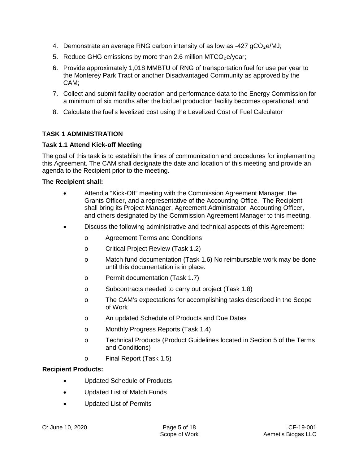- 4. Demonstrate an average RNG carbon intensity of as low as  $-427$  gCO<sub>2</sub>e/MJ;
- 5. Reduce GHG emissions by more than 2.6 million  $MTCO<sub>2</sub>e/year$ ;
- 6. Provide approximately 1,018 MMBTU of RNG of transportation fuel for use per year to the Monterey Park Tract or another Disadvantaged Community as approved by the CAM;
- 7. Collect and submit facility operation and performance data to the Energy Commission for a minimum of six months after the biofuel production facility becomes operational; and
- 8. Calculate the fuel's levelized cost using the Levelized Cost of Fuel Calculator

### **TASK 1 ADMINISTRATION**

#### **Task 1.1 Attend Kick-off Meeting**

The goal of this task is to establish the lines of communication and procedures for implementing this Agreement. The CAM shall designate the date and location of this meeting and provide an agenda to the Recipient prior to the meeting.

#### **The Recipient shall:**

- Attend a "Kick-Off" meeting with the Commission Agreement Manager, the Grants Officer, and a representative of the Accounting Office. The Recipient shall bring its Project Manager, Agreement Administrator, Accounting Officer, and others designated by the Commission Agreement Manager to this meeting.
- Discuss the following administrative and technical aspects of this Agreement:
	- o Agreement Terms and Conditions
	- o Critical Project Review (Task 1.2)
	- o Match fund documentation (Task 1.6) No reimbursable work may be done until this documentation is in place.
	- o Permit documentation (Task 1.7)
	- o Subcontracts needed to carry out project (Task 1.8)
	- o The CAM's expectations for accomplishing tasks described in the Scope of Work
	- o An updated Schedule of Products and Due Dates
	- o Monthly Progress Reports (Task 1.4)
	- o Technical Products (Product Guidelines located in Section 5 of the Terms and Conditions)
	- o Final Report (Task 1.5)

#### **Recipient Products:**

- Updated Schedule of Products
- Updated List of Match Funds
- Updated List of Permits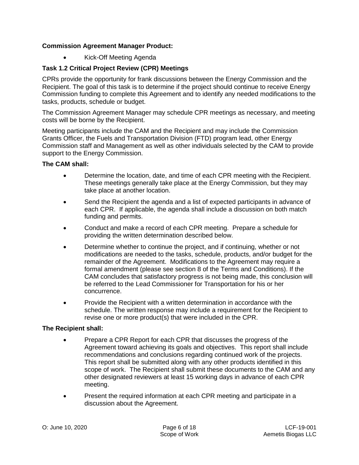### **Commission Agreement Manager Product:**

• Kick-Off Meeting Agenda

## **Task 1.2 Critical Project Review (CPR) Meetings**

CPRs provide the opportunity for frank discussions between the Energy Commission and the Recipient. The goal of this task is to determine if the project should continue to receive Energy Commission funding to complete this Agreement and to identify any needed modifications to the tasks, products, schedule or budget.

The Commission Agreement Manager may schedule CPR meetings as necessary, and meeting costs will be borne by the Recipient.

Meeting participants include the CAM and the Recipient and may include the Commission Grants Officer, the Fuels and Transportation Division (FTD) program lead, other Energy Commission staff and Management as well as other individuals selected by the CAM to provide support to the Energy Commission.

### **The CAM shall:**

- Determine the location, date, and time of each CPR meeting with the Recipient. These meetings generally take place at the Energy Commission, but they may take place at another location.
- Send the Recipient the agenda and a list of expected participants in advance of each CPR. If applicable, the agenda shall include a discussion on both match funding and permits.
- Conduct and make a record of each CPR meeting. Prepare a schedule for providing the written determination described below.
- Determine whether to continue the project, and if continuing, whether or not modifications are needed to the tasks, schedule, products, and/or budget for the remainder of the Agreement. Modifications to the Agreement may require a formal amendment (please see section 8 of the Terms and Conditions). If the CAM concludes that satisfactory progress is not being made, this conclusion will be referred to the Lead Commissioner for Transportation for his or her concurrence.
- Provide the Recipient with a written determination in accordance with the schedule. The written response may include a requirement for the Recipient to revise one or more product(s) that were included in the CPR.

### **The Recipient shall:**

- Prepare a CPR Report for each CPR that discusses the progress of the Agreement toward achieving its goals and objectives. This report shall include recommendations and conclusions regarding continued work of the projects. This report shall be submitted along with any other products identified in this scope of work. The Recipient shall submit these documents to the CAM and any other designated reviewers at least 15 working days in advance of each CPR meeting.
- Present the required information at each CPR meeting and participate in a discussion about the Agreement.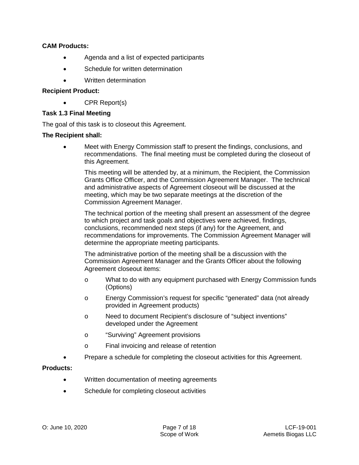#### **CAM Products:**

- Agenda and a list of expected participants
- Schedule for written determination
- Written determination

#### **Recipient Product:**

• CPR Report(s)

#### **Task 1.3 Final Meeting**

The goal of this task is to closeout this Agreement.

#### **The Recipient shall:**

• Meet with Energy Commission staff to present the findings, conclusions, and recommendations. The final meeting must be completed during the closeout of this Agreement.

This meeting will be attended by, at a minimum, the Recipient, the Commission Grants Office Officer, and the Commission Agreement Manager. The technical and administrative aspects of Agreement closeout will be discussed at the meeting, which may be two separate meetings at the discretion of the Commission Agreement Manager.

The technical portion of the meeting shall present an assessment of the degree to which project and task goals and objectives were achieved, findings, conclusions, recommended next steps (if any) for the Agreement, and recommendations for improvements. The Commission Agreement Manager will determine the appropriate meeting participants.

The administrative portion of the meeting shall be a discussion with the Commission Agreement Manager and the Grants Officer about the following Agreement closeout items:

- o What to do with any equipment purchased with Energy Commission funds (Options)
- o Energy Commission's request for specific "generated" data (not already provided in Agreement products)
- o Need to document Recipient's disclosure of "subject inventions" developed under the Agreement
- o "Surviving" Agreement provisions
- o Final invoicing and release of retention
- Prepare a schedule for completing the closeout activities for this Agreement.

#### **Products:**

- Written documentation of meeting agreements
- Schedule for completing closeout activities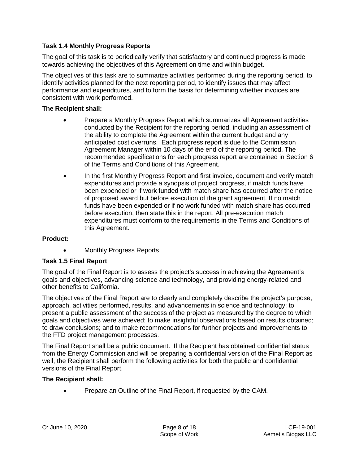### **Task 1.4 Monthly Progress Reports**

The goal of this task is to periodically verify that satisfactory and continued progress is made towards achieving the objectives of this Agreement on time and within budget.

The objectives of this task are to summarize activities performed during the reporting period, to identify activities planned for the next reporting period, to identify issues that may affect performance and expenditures, and to form the basis for determining whether invoices are consistent with work performed.

#### **The Recipient shall:**

- Prepare a Monthly Progress Report which summarizes all Agreement activities conducted by the Recipient for the reporting period, including an assessment of the ability to complete the Agreement within the current budget and any anticipated cost overruns. Each progress report is due to the Commission Agreement Manager within 10 days of the end of the reporting period. The recommended specifications for each progress report are contained in Section 6 of the Terms and Conditions of this Agreement.
- In the first Monthly Progress Report and first invoice, document and verify match expenditures and provide a synopsis of project progress, if match funds have been expended or if work funded with match share has occurred after the notice of proposed award but before execution of the grant agreement. If no match funds have been expended or if no work funded with match share has occurred before execution, then state this in the report. All pre-execution match expenditures must conform to the requirements in the Terms and Conditions of this Agreement.

### **Product:**

**Monthly Progress Reports** 

### **Task 1.5 Final Report**

The goal of the Final Report is to assess the project's success in achieving the Agreement's goals and objectives, advancing science and technology, and providing energy-related and other benefits to California.

The objectives of the Final Report are to clearly and completely describe the project's purpose, approach, activities performed, results, and advancements in science and technology; to present a public assessment of the success of the project as measured by the degree to which goals and objectives were achieved; to make insightful observations based on results obtained; to draw conclusions; and to make recommendations for further projects and improvements to the FTD project management processes.

The Final Report shall be a public document. If the Recipient has obtained confidential status from the Energy Commission and will be preparing a confidential version of the Final Report as well, the Recipient shall perform the following activities for both the public and confidential versions of the Final Report.

#### **The Recipient shall:**

• Prepare an Outline of the Final Report, if requested by the CAM.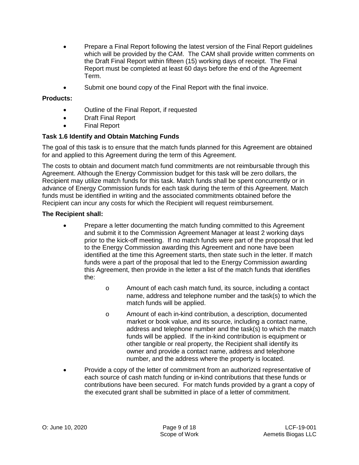- Prepare a Final Report following the latest version of the Final Report guidelines which will be provided by the CAM. The CAM shall provide written comments on the Draft Final Report within fifteen (15) working days of receipt. The Final Report must be completed at least 60 days before the end of the Agreement Term.
- Submit one bound copy of the Final Report with the final invoice.

- Outline of the Final Report, if requested
- Draft Final Report
- Final Report

#### **Task 1.6 Identify and Obtain Matching Funds**

The goal of this task is to ensure that the match funds planned for this Agreement are obtained for and applied to this Agreement during the term of this Agreement.

The costs to obtain and document match fund commitments are not reimbursable through this Agreement. Although the Energy Commission budget for this task will be zero dollars, the Recipient may utilize match funds for this task. Match funds shall be spent concurrently or in advance of Energy Commission funds for each task during the term of this Agreement. Match funds must be identified in writing and the associated commitments obtained before the Recipient can incur any costs for which the Recipient will request reimbursement.

#### **The Recipient shall:**

- Prepare a letter documenting the match funding committed to this Agreement and submit it to the Commission Agreement Manager at least 2 working days prior to the kick-off meeting. If no match funds were part of the proposal that led to the Energy Commission awarding this Agreement and none have been identified at the time this Agreement starts, then state such in the letter. If match funds were a part of the proposal that led to the Energy Commission awarding this Agreement, then provide in the letter a list of the match funds that identifies the:
	- o Amount of each cash match fund, its source, including a contact name, address and telephone number and the task(s) to which the match funds will be applied.
	- o Amount of each in-kind contribution, a description, documented market or book value, and its source, including a contact name, address and telephone number and the task(s) to which the match funds will be applied. If the in-kind contribution is equipment or other tangible or real property, the Recipient shall identify its owner and provide a contact name, address and telephone number, and the address where the property is located.
- Provide a copy of the letter of commitment from an authorized representative of each source of cash match funding or in-kind contributions that these funds or contributions have been secured. For match funds provided by a grant a copy of the executed grant shall be submitted in place of a letter of commitment.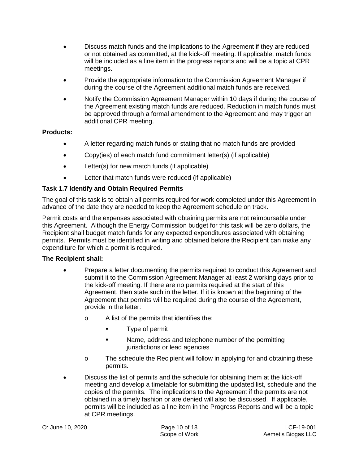- Discuss match funds and the implications to the Agreement if they are reduced or not obtained as committed, at the kick-off meeting. If applicable, match funds will be included as a line item in the progress reports and will be a topic at CPR meetings.
- Provide the appropriate information to the Commission Agreement Manager if during the course of the Agreement additional match funds are received.
- Notify the Commission Agreement Manager within 10 days if during the course of the Agreement existing match funds are reduced. Reduction in match funds must be approved through a formal amendment to the Agreement and may trigger an additional CPR meeting.

- A letter regarding match funds or stating that no match funds are provided
- Copy(ies) of each match fund commitment letter(s) (if applicable)
- Letter(s) for new match funds (if applicable)
- Letter that match funds were reduced (if applicable)

### **Task 1.7 Identify and Obtain Required Permits**

The goal of this task is to obtain all permits required for work completed under this Agreement in advance of the date they are needed to keep the Agreement schedule on track.

Permit costs and the expenses associated with obtaining permits are not reimbursable under this Agreement. Although the Energy Commission budget for this task will be zero dollars, the Recipient shall budget match funds for any expected expenditures associated with obtaining permits. Permits must be identified in writing and obtained before the Recipient can make any expenditure for which a permit is required.

### **The Recipient shall:**

- Prepare a letter documenting the permits required to conduct this Agreement and submit it to the Commission Agreement Manager at least 2 working days prior to the kick-off meeting. If there are no permits required at the start of this Agreement, then state such in the letter. If it is known at the beginning of the Agreement that permits will be required during the course of the Agreement, provide in the letter:
	- o A list of the permits that identifies the:
		- Type of permit
		- **Name, address and telephone number of the permitting** jurisdictions or lead agencies
	- o The schedule the Recipient will follow in applying for and obtaining these permits.
- Discuss the list of permits and the schedule for obtaining them at the kick-off meeting and develop a timetable for submitting the updated list, schedule and the copies of the permits. The implications to the Agreement if the permits are not obtained in a timely fashion or are denied will also be discussed. If applicable, permits will be included as a line item in the Progress Reports and will be a topic at CPR meetings.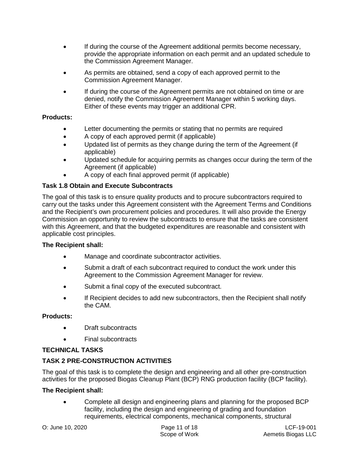- If during the course of the Agreement additional permits become necessary, provide the appropriate information on each permit and an updated schedule to the Commission Agreement Manager.
- As permits are obtained, send a copy of each approved permit to the Commission Agreement Manager.
- If during the course of the Agreement permits are not obtained on time or are denied, notify the Commission Agreement Manager within 5 working days. Either of these events may trigger an additional CPR.

- Letter documenting the permits or stating that no permits are required
- A copy of each approved permit (if applicable)
- Updated list of permits as they change during the term of the Agreement (if applicable)
- Updated schedule for acquiring permits as changes occur during the term of the Agreement (if applicable)
- A copy of each final approved permit (if applicable)

### **Task 1.8 Obtain and Execute Subcontracts**

The goal of this task is to ensure quality products and to procure subcontractors required to carry out the tasks under this Agreement consistent with the Agreement Terms and Conditions and the Recipient's own procurement policies and procedures. It will also provide the Energy Commission an opportunity to review the subcontracts to ensure that the tasks are consistent with this Agreement, and that the budgeted expenditures are reasonable and consistent with applicable cost principles.

### **The Recipient shall:**

- Manage and coordinate subcontractor activities.
- Submit a draft of each subcontract required to conduct the work under this Agreement to the Commission Agreement Manager for review.
- Submit a final copy of the executed subcontract.
- If Recipient decides to add new subcontractors, then the Recipient shall notify the CAM.

### **Products:**

- Draft subcontracts
- Final subcontracts

### **TECHNICAL TASKS**

# **TASK 2 PRE-CONSTRUCTION ACTIVITIES**

The goal of this task is to complete the design and engineering and all other pre-construction activities for the proposed Biogas Cleanup Plant (BCP) RNG production facility (BCP facility).

### **The Recipient shall:**

• Complete all design and engineering plans and planning for the proposed BCP facility, including the design and engineering of grading and foundation requirements, electrical components, mechanical components, structural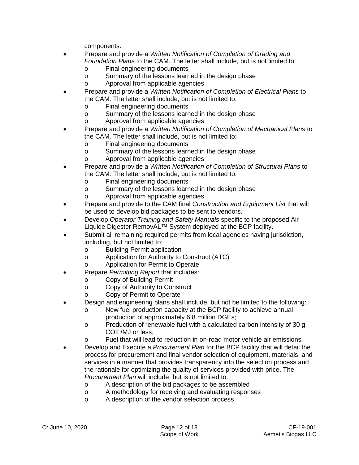components.

- Prepare and provide a *Written Notification of Completion of Grading and Foundation Plans* to the CAM. The letter shall include, but is not limited to:
	- o Final engineering documents
	- o Summary of the lessons learned in the design phase
	- o Approval from applicable agencies
- Prepare and provide a *Written Notification of Completion of Electrical Plans* to the CAM. The letter shall include, but is not limited to:
	- o Final engineering documents<br>o Summary of the lessons learn
	- o Summary of the lessons learned in the design phase<br>
	o Approval from applicable agencies
	- Approval from applicable agencies
- Prepare and provide a *Written Notification of Completion of Mechanical Plans* to the CAM. The letter shall include, but is not limited to:
	- o Final engineering documents
	- o Summary of the lessons learned in the design phase
	- o Approval from applicable agencies
- Prepare and provide a *Written Notification of Completion of Structural Plans* to the CAM. The letter shall include, but is not limited to:
	- o Final engineering documents
	- o Summary of the lessons learned in the design phase
	- o Approval from applicable agencies
- Prepare and provide to the CAM final *Construction and Equipment List* that will be used to develop bid packages to be sent to vendors.
- Develop *Operator Training and Safety Manuals* specific to the proposed Air Liquide Digester RemovAL™ System deployed at the BCP facility.
- Submit all remaining required permits from local agencies having jurisdiction, including, but not limited to:
	- o Building Permit application
	- o Application for Authority to Construct (ATC)
	- o Application for Permit to Operate
- Prepare *Permitting Report* that includes:
	-
	- o Copy of Building Permit<br>
	o Copy of Authority to Con Copy of Authority to Construct
	- o Copy of Permit to Operate
- Design and engineering plans shall include, but not be limited to the following:
	- o New fuel production capacity at the BCP facility to achieve annual production of approximately 6.8 million DGEs;
	- o Production of renewable fuel with a calculated carbon intensity of 30 g CO2 /MJ or less;
	- o Fuel that will lead to reduction in on-road motor vehicle air emissions.
- Develop and Execute a *Procurement Plan* for the BCP facility that will detail the process for procurement and final vendor selection of equipment, materials, and services in a manner that provides transparency into the selection process and the rationale for optimizing the quality of services provided with price. The *Procurement Plan* will include, but is not limited to:
	- o A description of the bid packages to be assembled<br>  $\circ$  A methodology for receiving and evaluating respone
	- o A methodology for receiving and evaluating responses<br>
	o A description of the vendor selection process
	- A description of the vendor selection process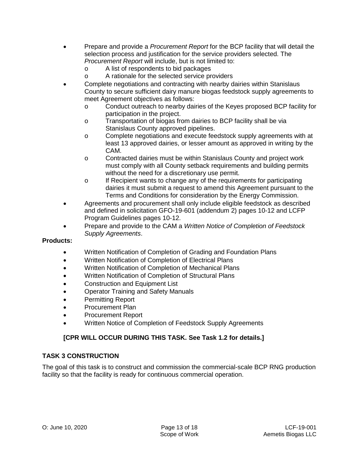- Prepare and provide a *Procurement Report* for the BCP facility that will detail the selection process and justification for the service providers selected. The *Procurement Report* will include, but is not limited to:
	- o A list of respondents to bid packages
	- o A rationale for the selected service providers
- Complete negotiations and contracting with nearby dairies within Stanislaus County to secure sufficient dairy manure biogas feedstock supply agreements to meet Agreement objectives as follows:
	- o Conduct outreach to nearby dairies of the Keyes proposed BCP facility for participation in the project.
	- o Transportation of biogas from dairies to BCP facility shall be via Stanislaus County approved pipelines.
	- o Complete negotiations and execute feedstock supply agreements with at least 13 approved dairies, or lesser amount as approved in writing by the CAM.
	- o Contracted dairies must be within Stanislaus County and project work must comply with all County setback requirements and building permits without the need for a discretionary use permit.
	- o If Recipient wants to change any of the requirements for participating dairies it must submit a request to amend this Agreement pursuant to the Terms and Conditions for consideration by the Energy Commission.
- Agreements and procurement shall only include eligible feedstock as described and defined in solicitation GFO-19-601 (addendum 2) pages 10-12 and LCFP Program Guidelines pages 10-12.
- Prepare and provide to the CAM a *Written Notice of Completion of Feedstock Supply Agreements*.

- Written Notification of Completion of Grading and Foundation Plans
- Written Notification of Completion of Electrical Plans
- Written Notification of Completion of Mechanical Plans
- Written Notification of Completion of Structural Plans
- Construction and Equipment List
- Operator Training and Safety Manuals
- Permitting Report
- Procurement Plan
- Procurement Report
- Written Notice of Completion of Feedstock Supply Agreements

# **[CPR WILL OCCUR DURING THIS TASK. See Task 1.2 for details.]**

### **TASK 3 CONSTRUCTION**

The goal of this task is to construct and commission the commercial-scale BCP RNG production facility so that the facility is ready for continuous commercial operation.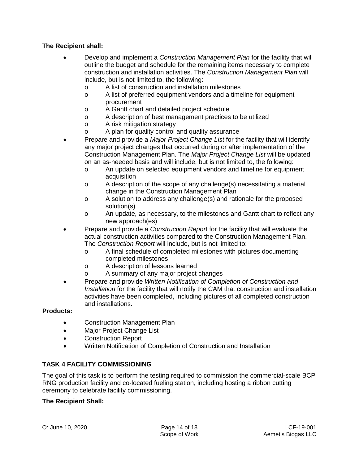#### **The Recipient shall:**

- Develop and implement a *Construction Management Plan* for the facility that will outline the budget and schedule for the remaining items necessary to complete construction and installation activities. The *Construction Management Plan* will include, but is not limited to, the following:
	- o A list of construction and installation milestones
	- o A list of preferred equipment vendors and a timeline for equipment procurement
	- o A Gantt chart and detailed project schedule<br>
	A description of best management practices
	- o A description of best management practices to be utilized  $\circ$  A risk mitioation strategy
	- o A risk mitigation strategy<br>
	o A plan for quality control
	- A plan for quality control and quality assurance
- Prepare and provide a *Major Project Change List* for the facility that will identify any major project changes that occurred during or after implementation of the Construction Management Plan. The *Major Project Change List* will be updated on an as-needed basis and will include, but is not limited to, the following:
	- o An update on selected equipment vendors and timeline for equipment acquisition
	- o A description of the scope of any challenge(s) necessitating a material change in the Construction Management Plan
	- o A solution to address any challenge(s) and rationale for the proposed solution(s)
	- o An update, as necessary, to the milestones and Gantt chart to reflect any new approach(es)
- Prepare and provide a *Construction Repor*t for the facility that will evaluate the actual construction activities compared to the Construction Management Plan. The *Construction Report* will include, but is not limited to:
	- o A final schedule of completed milestones with pictures documenting completed milestones
	- o A description of lessons learned<br>
	o A summary of any maior project
	- A summary of any major project changes
- Prepare and provide *Written Notification of Completion of Construction and Installation* for the facility that will notify the CAM that construction and installation activities have been completed, including pictures of all completed construction and installations.

#### **Products:**

- Construction Management Plan
- Major Project Change List
- Construction Report
- Written Notification of Completion of Construction and Installation

#### **TASK 4 FACILITY COMMISSIONING**

The goal of this task is to perform the testing required to commission the commercial-scale BCP RNG production facility and co-located fueling station, including hosting a ribbon cutting ceremony to celebrate facility commissioning.

#### **The Recipient Shall:**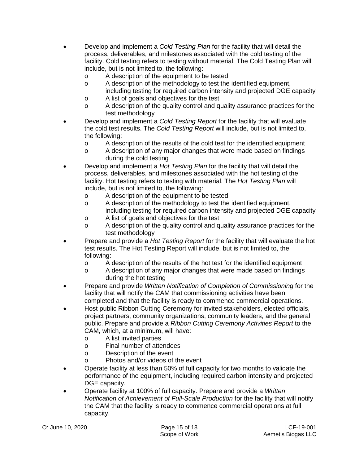- Develop and implement a *Cold Testing Plan* for the facility that will detail the process, deliverables, and milestones associated with the cold testing of the facility. Cold testing refers to testing without material. The Cold Testing Plan will include, but is not limited to, the following:
	- o A description of the equipment to be tested
	- o A description of the methodology to test the identified equipment, including testing for required carbon intensity and projected DGE capacity
	- o A list of goals and objectives for the test<br>
	A description of the quality control and quality
	- A description of the quality control and quality assurance practices for the test methodology
- Develop and implement a *Cold Testing Report* for the facility that will evaluate the cold test results. The *Cold Testing Report* will include, but is not limited to, the following:
	- o A description of the results of the cold test for the identified equipment<br>  $\circ$  A description of any major changes that were made based on findings
	- A description of any major changes that were made based on findings during the cold testing
- Develop and implement a *Hot Testing Plan* for the facility that will detail the process, deliverables, and milestones associated with the hot testing of the facility. Hot testing refers to testing with material. The *Hot Testing Plan* will include, but is not limited to, the following:
	- o A description of the equipment to be tested<br>
	o A description of the methodology to test the
	- A description of the methodology to test the identified equipment, including testing for required carbon intensity and projected DGE capacity
	- o A list of goals and objectives for the test<br>
	o A description of the quality control and quality
	- A description of the quality control and quality assurance practices for the test methodology
- Prepare and provide a *Hot Testing Report* for the facility that will evaluate the hot test results. The Hot Testing Report will include, but is not limited to, the following:
	- o A description of the results of the hot test for the identified equipment<br>
	A description of any maior changes that were made based on findings
	- A description of any major changes that were made based on findings during the hot testing
- Prepare and provide *Written Notification of Completion of Commissioning* for the facility that will notify the CAM that commissioning activities have been completed and that the facility is ready to commence commercial operations.
- Host public Ribbon Cutting Ceremony for invited stakeholders, elected officials, project partners, community organizations, community leaders, and the general public. Prepare and provide a *Ribbon Cutting Ceremony Activities Report* to the CAM, which, at a minimum, will have:
	-
	- o A list invited parties<br>
	o Final number of atte Final number of attendees
	- o Description of the event
	- o Photos and/or videos of the event
- Operate facility at less than 50% of full capacity for two months to validate the performance of the equipment, including required carbon intensity and projected DGE capacity.
- Operate facility at 100% of full capacity. Prepare and provide a *Written Notification of Achievement of Full-Scale Production* for the facility that will notify the CAM that the facility is ready to commence commercial operations at full capacity.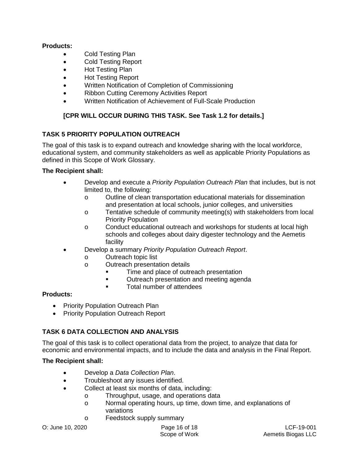- Cold Testing Plan
- Cold Testing Report
- Hot Testing Plan
- Hot Testing Report
- Written Notification of Completion of Commissioning
- Ribbon Cutting Ceremony Activities Report
- Written Notification of Achievement of Full-Scale Production

## **[CPR WILL OCCUR DURING THIS TASK. See Task 1.2 for details.]**

### **TASK 5 PRIORITY POPULATION OUTREACH**

The goal of this task is to expand outreach and knowledge sharing with the local workforce, educational system, and community stakeholders as well as applicable Priority Populations as defined in this Scope of Work Glossary.

#### **The Recipient shall:**

- Develop and execute a *Priority Population Outreach Plan* that includes, but is not limited to, the following:
	- o Outline of clean transportation educational materials for dissemination and presentation at local schools, junior colleges, and universities
	- o Tentative schedule of community meeting(s) with stakeholders from local Priority Population
	- o Conduct educational outreach and workshops for students at local high schools and colleges about dairy digester technology and the Aemetis facility
- Develop a summary *Priority Population Outreach Report*.
	- o Outreach topic list
	- o Outreach presentation details
		- Time and place of outreach presentation
		- Outreach presentation and meeting agenda
		- **Total number of attendees**

### **Products:**

- Priority Population Outreach Plan
- Priority Population Outreach Report

### **TASK 6 DATA COLLECTION AND ANALYSIS**

The goal of this task is to collect operational data from the project, to analyze that data for economic and environmental impacts, and to include the data and analysis in the Final Report.

### **The Recipient shall:**

- Develop a *Data Collection Plan*.
- Troubleshoot any issues identified.
- Collect at least six months of data, including:
	- o Throughput, usage, and operations data
	- o Normal operating hours, up time, down time, and explanations of variations
	- o Feedstock supply summary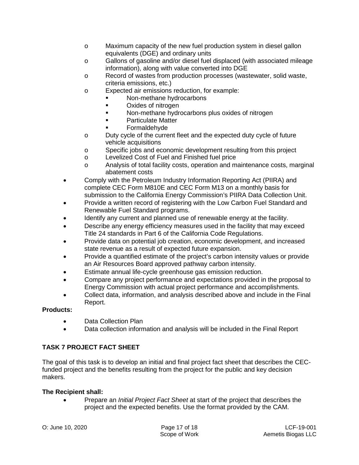- o Maximum capacity of the new fuel production system in diesel gallon equivalents (DGE) and ordinary units
- o Gallons of gasoline and/or diesel fuel displaced (with associated mileage information), along with value converted into DGE
- o Record of wastes from production processes (wastewater, solid waste, criteria emissions, etc.)
- o Expected air emissions reduction, for example:
	- **Non-methane hydrocarbons**
	- Oxides of nitrogen
	- **Non-methane hydrocarbons plus oxides of nitrogen**
	- Particulate Matter
	- Formaldehyde
- o Duty cycle of the current fleet and the expected duty cycle of future vehicle acquisitions
- o Specific jobs and economic development resulting from this project
- o Levelized Cost of Fuel and Finished fuel price<br>
o Analysis of total facility costs, operation and m
- Analysis of total facility costs, operation and maintenance costs, marginal abatement costs
- Comply with the Petroleum Industry Information Reporting Act (PIIRA) and complete CEC Form M810E and CEC Form M13 on a monthly basis for submission to the California Energy Commission's PIIRA Data Collection Unit.
- Provide a written record of registering with the Low Carbon Fuel Standard and Renewable Fuel Standard programs.
- Identify any current and planned use of renewable energy at the facility.
- Describe any energy efficiency measures used in the facility that may exceed Title 24 standards in Part 6 of the California Code Regulations.
- Provide data on potential job creation, economic development, and increased state revenue as a result of expected future expansion.
- Provide a quantified estimate of the project's carbon intensity values or provide an Air Resources Board approved pathway carbon intensity.
- Estimate annual life-cycle greenhouse gas emission reduction.
- Compare any project performance and expectations provided in the proposal to Energy Commission with actual project performance and accomplishments.
- Collect data, information, and analysis described above and include in the Final Report.

- Data Collection Plan
- Data collection information and analysis will be included in the Final Report

# **TASK 7 PROJECT FACT SHEET**

The goal of this task is to develop an initial and final project fact sheet that describes the CECfunded project and the benefits resulting from the project for the public and key decision makers.

### **The Recipient shall:**

• Prepare an *Initial Project Fact Sheet* at start of the project that describes the project and the expected benefits. Use the format provided by the CAM.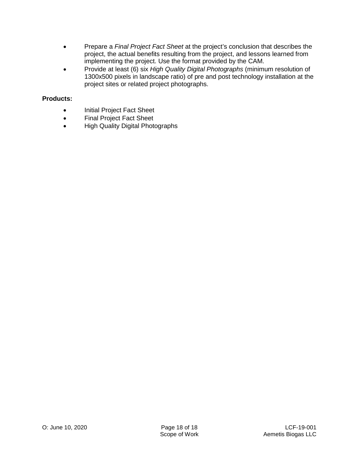- Prepare a *Final Project Fact Sheet* at the project's conclusion that describes the project, the actual benefits resulting from the project, and lessons learned from implementing the project. Use the format provided by the CAM.
- Provide at least (6) six *High Quality Digital Photographs* (minimum resolution of 1300x500 pixels in landscape ratio) of pre and post technology installation at the project sites or related project photographs.

- Initial Project Fact Sheet
- Final Project Fact Sheet
- High Quality Digital Photographs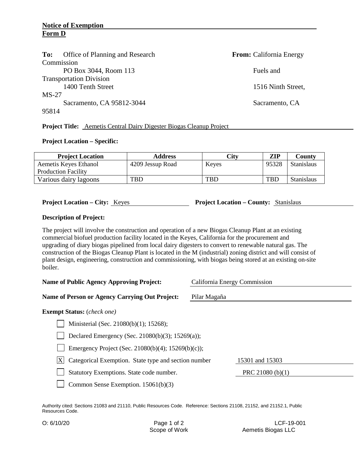| Office of Planning and Research<br>To: | <b>From:</b> California Energy |
|----------------------------------------|--------------------------------|
| Commission                             |                                |
| PO Box 3044, Room 113                  | Fuels and                      |
| <b>Transportation Division</b>         |                                |
| 1400 Tenth Street                      | 1516 Ninth Street,             |
| $MS-27$                                |                                |
| Sacramento, CA 95812-3044              | Sacramento, CA                 |
| 95814                                  |                                |
|                                        |                                |

**Project Title:** Aemetis Central Dairy Digester Biogas Cleanup Project

#### **Project Location – Specific:**

| <b>Project Location</b>    | <b>Address</b>   | City  | ZIP        | County            |
|----------------------------|------------------|-------|------------|-------------------|
| Aemetis Keyes Ethanol      | 4209 Jessup Road | Keyes | 95328      | <b>Stanislaus</b> |
| <b>Production Facility</b> |                  |       |            |                   |
| Various dairy lagoons      | TBD              | TBD   | <b>TBD</b> | <b>Stanislaus</b> |

**Project Location – City:** Keyes **Project Location – County:** Stanislaus

#### **Description of Project:**

The project will involve the construction and operation of a new Biogas Cleanup Plant at an existing commercial biofuel production facility located in the Keyes, California for the procurement and upgrading of diary biogas pipelined from local dairy digesters to convert to renewable natural gas. The construction of the Biogas Cleanup Plant is located in the M (industrial) zoning district and will consist of plant design, engineering, construction and commissioning, with biogas being stored at an existing on-site boiler.

| <b>Name of Public Agency Approving Project:</b>            | California Energy Commission |  |  |
|------------------------------------------------------------|------------------------------|--|--|
| Name of Person or Agency Carrying Out Project:             | Pilar Magaña                 |  |  |
| <b>Exempt Status:</b> ( <i>check one</i> )                 |                              |  |  |
| Ministerial (Sec. 21080(b)(1); 15268);                     |                              |  |  |
| Declared Emergency (Sec. 21080(b)(3); 15269(a));           |                              |  |  |
| Emergency Project (Sec. 21080(b)(4); 15269(b)(c));         |                              |  |  |
| X <br>Categorical Exemption. State type and section number | 15301 and 15303              |  |  |
| Statutory Exemptions. State code number.                   | PRC 21080 (b) $(1)$          |  |  |
| Common Sense Exemption. $15061(b)(3)$                      |                              |  |  |

Authority cited: Sections 21083 and 21110, Public Resources Code. Reference: Sections 21108, 21152, and 21152.1, Public Resources Code.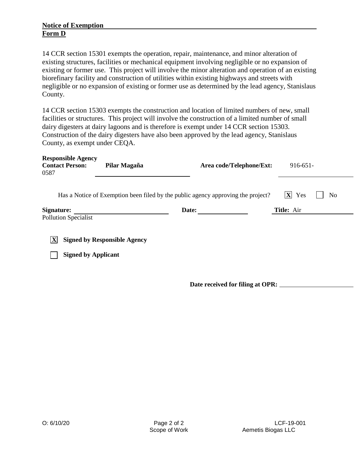14 CCR section 15301 exempts the operation, repair, maintenance, and minor alteration of existing structures, facilities or mechanical equipment involving negligible or no expansion of existing or former use. This project will involve the minor alteration and operation of an existing biorefinary facility and construction of utilities within existing highways and streets with negligible or no expansion of existing or former use as determined by the lead agency, Stanislaus County.

14 CCR section 15303 exempts the construction and location of limited numbers of new, small facilities or structures. This project will involve the construction of a limited number of small dairy digesters at dairy lagoons and is therefore is exempt under 14 CCR section 15303. Construction of the dairy digesters have also been approved by the lead agency, Stanislaus County, as exempt under CEQA.

| <b>Responsible Agency</b><br><b>Contact Person:</b><br>0587                                                                                                    | Pilar Magaña | Area code/Telephone/Ext: | $916 - 651 -$ |  |
|----------------------------------------------------------------------------------------------------------------------------------------------------------------|--------------|--------------------------|---------------|--|
| $\mathbf{X}$<br>Yes<br>Has a Notice of Exemption been filed by the public agency approving the project?<br>N <sub>0</sub><br>Title: Air<br>Date:<br>Signature: |              |                          |               |  |
| <b>Pollution Specialist</b>                                                                                                                                    |              |                          |               |  |
| X<br><b>Signed by Responsible Agency</b><br><b>Signed by Applicant</b>                                                                                         |              |                          |               |  |

**Date received for filing at OPR:**